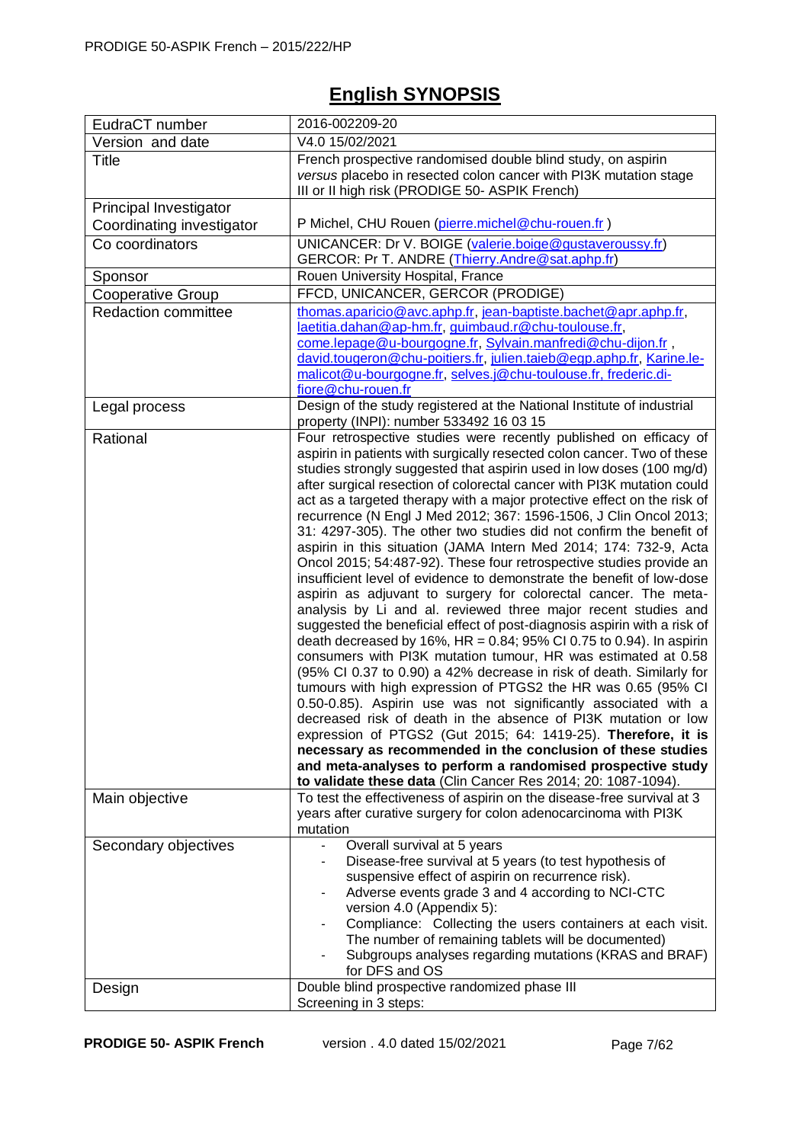## **English SYNOPSIS**

| EudraCT number             | 2016-002209-20                                                                                                                                                                                                                                                                                                                                                                                                                                                                                                                                                                                                                                                                                                                                                                                                                                                                                                                                                                                                                                                                                                                                                                                                                                                                                                                                                                                                                                                                                                                                                                                                                                       |  |
|----------------------------|------------------------------------------------------------------------------------------------------------------------------------------------------------------------------------------------------------------------------------------------------------------------------------------------------------------------------------------------------------------------------------------------------------------------------------------------------------------------------------------------------------------------------------------------------------------------------------------------------------------------------------------------------------------------------------------------------------------------------------------------------------------------------------------------------------------------------------------------------------------------------------------------------------------------------------------------------------------------------------------------------------------------------------------------------------------------------------------------------------------------------------------------------------------------------------------------------------------------------------------------------------------------------------------------------------------------------------------------------------------------------------------------------------------------------------------------------------------------------------------------------------------------------------------------------------------------------------------------------------------------------------------------------|--|
| Version and date           | V4.0 15/02/2021                                                                                                                                                                                                                                                                                                                                                                                                                                                                                                                                                                                                                                                                                                                                                                                                                                                                                                                                                                                                                                                                                                                                                                                                                                                                                                                                                                                                                                                                                                                                                                                                                                      |  |
| <b>Title</b>               | French prospective randomised double blind study, on aspirin<br>versus placebo in resected colon cancer with PI3K mutation stage<br>III or II high risk (PRODIGE 50- ASPIK French)                                                                                                                                                                                                                                                                                                                                                                                                                                                                                                                                                                                                                                                                                                                                                                                                                                                                                                                                                                                                                                                                                                                                                                                                                                                                                                                                                                                                                                                                   |  |
| Principal Investigator     |                                                                                                                                                                                                                                                                                                                                                                                                                                                                                                                                                                                                                                                                                                                                                                                                                                                                                                                                                                                                                                                                                                                                                                                                                                                                                                                                                                                                                                                                                                                                                                                                                                                      |  |
| Coordinating investigator  | P Michel, CHU Rouen (pierre.michel@chu-rouen.fr)                                                                                                                                                                                                                                                                                                                                                                                                                                                                                                                                                                                                                                                                                                                                                                                                                                                                                                                                                                                                                                                                                                                                                                                                                                                                                                                                                                                                                                                                                                                                                                                                     |  |
| Co coordinators            | UNICANCER: Dr V. BOIGE (valerie.boige@gustaveroussy.fr)<br>GERCOR: Pr T. ANDRE (Thierry.Andre@sat.aphp.fr)                                                                                                                                                                                                                                                                                                                                                                                                                                                                                                                                                                                                                                                                                                                                                                                                                                                                                                                                                                                                                                                                                                                                                                                                                                                                                                                                                                                                                                                                                                                                           |  |
| Sponsor                    | Rouen University Hospital, France                                                                                                                                                                                                                                                                                                                                                                                                                                                                                                                                                                                                                                                                                                                                                                                                                                                                                                                                                                                                                                                                                                                                                                                                                                                                                                                                                                                                                                                                                                                                                                                                                    |  |
| Cooperative Group          | FFCD, UNICANCER, GERCOR (PRODIGE)                                                                                                                                                                                                                                                                                                                                                                                                                                                                                                                                                                                                                                                                                                                                                                                                                                                                                                                                                                                                                                                                                                                                                                                                                                                                                                                                                                                                                                                                                                                                                                                                                    |  |
| <b>Redaction committee</b> | thomas.aparicio@avc.aphp.fr, jean-baptiste.bachet@apr.aphp.fr,<br>laetitia.dahan@ap-hm.fr, guimbaud.r@chu-toulouse.fr,<br>come.lepage@u-bourgogne.fr, Sylvain.manfredi@chu-dijon.fr,<br>david.tougeron@chu-poitiers.fr, julien.taieb@egp.aphp.fr, Karine.le-<br>malicot@u-bourgogne.fr, selves.j@chu-toulouse.fr, frederic.di-<br>fiore@chu-rouen.fr                                                                                                                                                                                                                                                                                                                                                                                                                                                                                                                                                                                                                                                                                                                                                                                                                                                                                                                                                                                                                                                                                                                                                                                                                                                                                                 |  |
| Legal process              | Design of the study registered at the National Institute of industrial<br>property (INPI): number 533492 16 03 15                                                                                                                                                                                                                                                                                                                                                                                                                                                                                                                                                                                                                                                                                                                                                                                                                                                                                                                                                                                                                                                                                                                                                                                                                                                                                                                                                                                                                                                                                                                                    |  |
| Rational                   | Four retrospective studies were recently published on efficacy of<br>aspirin in patients with surgically resected colon cancer. Two of these<br>studies strongly suggested that aspirin used in low doses (100 mg/d)<br>after surgical resection of colorectal cancer with PI3K mutation could<br>act as a targeted therapy with a major protective effect on the risk of<br>recurrence (N Engl J Med 2012; 367: 1596-1506, J Clin Oncol 2013;<br>31: 4297-305). The other two studies did not confirm the benefit of<br>aspirin in this situation (JAMA Intern Med 2014; 174: 732-9, Acta<br>Oncol 2015; 54:487-92). These four retrospective studies provide an<br>insufficient level of evidence to demonstrate the benefit of low-dose<br>aspirin as adjuvant to surgery for colorectal cancer. The meta-<br>analysis by Li and al. reviewed three major recent studies and<br>suggested the beneficial effect of post-diagnosis aspirin with a risk of<br>death decreased by 16%, $HR = 0.84$ ; 95% CI 0.75 to 0.94). In aspirin<br>consumers with PI3K mutation tumour, HR was estimated at 0.58<br>(95% CI 0.37 to 0.90) a 42% decrease in risk of death. Similarly for<br>tumours with high expression of PTGS2 the HR was 0.65 (95% CI<br>0.50-0.85). Aspirin use was not significantly associated with a<br>decreased risk of death in the absence of PI3K mutation or low<br>expression of PTGS2 (Gut 2015; 64: 1419-25). Therefore, it is<br>necessary as recommended in the conclusion of these studies<br>and meta-analyses to perform a randomised prospective study<br>to validate these data (Clin Cancer Res 2014; 20: 1087-1094). |  |
| Main objective             | To test the effectiveness of aspirin on the disease-free survival at 3<br>years after curative surgery for colon adenocarcinoma with PI3K<br>mutation                                                                                                                                                                                                                                                                                                                                                                                                                                                                                                                                                                                                                                                                                                                                                                                                                                                                                                                                                                                                                                                                                                                                                                                                                                                                                                                                                                                                                                                                                                |  |
| Secondary objectives       | Overall survival at 5 years<br>Disease-free survival at 5 years (to test hypothesis of<br>suspensive effect of aspirin on recurrence risk).<br>Adverse events grade 3 and 4 according to NCI-CTC<br>version 4.0 (Appendix 5):<br>Compliance: Collecting the users containers at each visit.<br>The number of remaining tablets will be documented)<br>Subgroups analyses regarding mutations (KRAS and BRAF)<br>for DFS and OS                                                                                                                                                                                                                                                                                                                                                                                                                                                                                                                                                                                                                                                                                                                                                                                                                                                                                                                                                                                                                                                                                                                                                                                                                       |  |
| Design                     | Double blind prospective randomized phase III<br>Screening in 3 steps:                                                                                                                                                                                                                                                                                                                                                                                                                                                                                                                                                                                                                                                                                                                                                                                                                                                                                                                                                                                                                                                                                                                                                                                                                                                                                                                                                                                                                                                                                                                                                                               |  |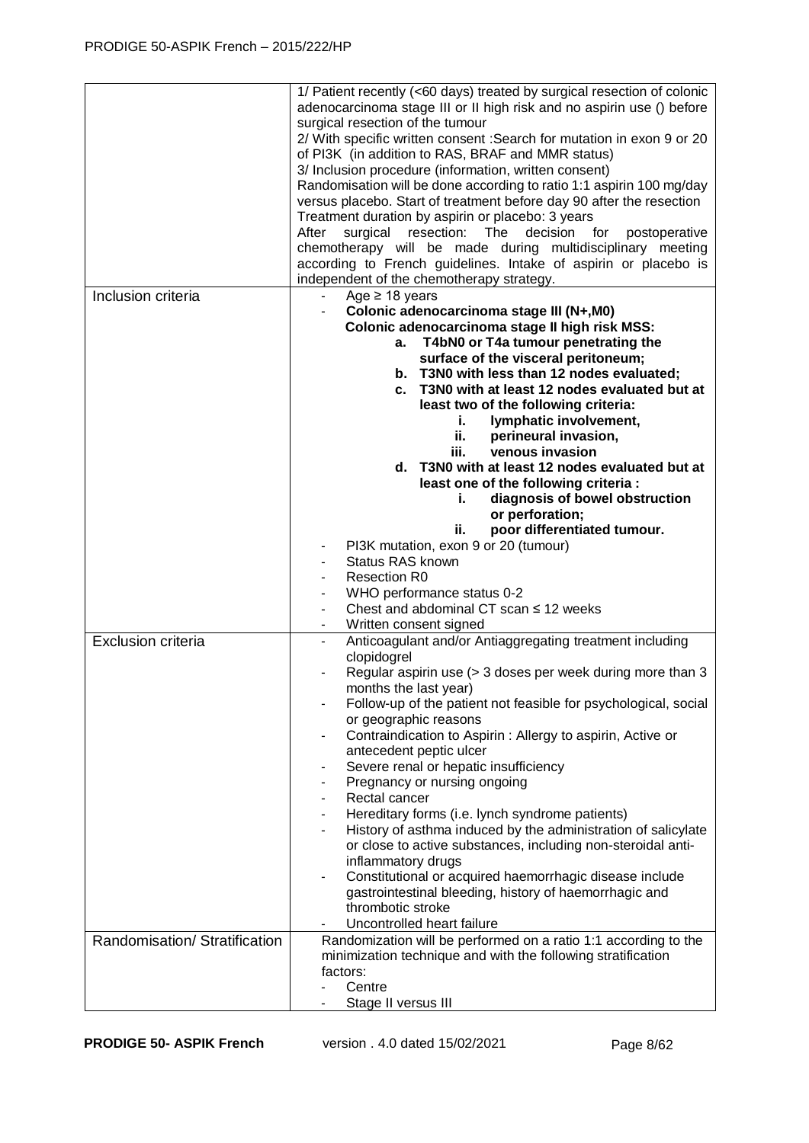|                               | 1/ Patient recently (<60 days) treated by surgical resection of colonic<br>adenocarcinoma stage III or II high risk and no aspirin use () before<br>surgical resection of the tumour<br>2/ With specific written consent : Search for mutation in exon 9 or 20<br>of PI3K (in addition to RAS, BRAF and MMR status)<br>3/ Inclusion procedure (information, written consent)<br>Randomisation will be done according to ratio 1:1 aspirin 100 mg/day<br>versus placebo. Start of treatment before day 90 after the resection<br>Treatment duration by aspirin or placebo: 3 years<br>surgical resection: The decision for<br>After<br>postoperative<br>chemotherapy will be made during multidisciplinary meeting<br>according to French guidelines. Intake of aspirin or placebo is<br>independent of the chemotherapy strategy. |
|-------------------------------|-----------------------------------------------------------------------------------------------------------------------------------------------------------------------------------------------------------------------------------------------------------------------------------------------------------------------------------------------------------------------------------------------------------------------------------------------------------------------------------------------------------------------------------------------------------------------------------------------------------------------------------------------------------------------------------------------------------------------------------------------------------------------------------------------------------------------------------|
| Inclusion criteria            | Age $\geq$ 18 years                                                                                                                                                                                                                                                                                                                                                                                                                                                                                                                                                                                                                                                                                                                                                                                                               |
|                               | Colonic adenocarcinoma stage III (N+,M0)                                                                                                                                                                                                                                                                                                                                                                                                                                                                                                                                                                                                                                                                                                                                                                                          |
|                               | Colonic adenocarcinoma stage II high risk MSS:                                                                                                                                                                                                                                                                                                                                                                                                                                                                                                                                                                                                                                                                                                                                                                                    |
|                               |                                                                                                                                                                                                                                                                                                                                                                                                                                                                                                                                                                                                                                                                                                                                                                                                                                   |
|                               | T4bN0 or T4a tumour penetrating the<br>а.                                                                                                                                                                                                                                                                                                                                                                                                                                                                                                                                                                                                                                                                                                                                                                                         |
|                               | surface of the visceral peritoneum;                                                                                                                                                                                                                                                                                                                                                                                                                                                                                                                                                                                                                                                                                                                                                                                               |
|                               | b. T3N0 with less than 12 nodes evaluated;                                                                                                                                                                                                                                                                                                                                                                                                                                                                                                                                                                                                                                                                                                                                                                                        |
|                               | c. T3N0 with at least 12 nodes evaluated but at                                                                                                                                                                                                                                                                                                                                                                                                                                                                                                                                                                                                                                                                                                                                                                                   |
|                               | least two of the following criteria:                                                                                                                                                                                                                                                                                                                                                                                                                                                                                                                                                                                                                                                                                                                                                                                              |
|                               | lymphatic involvement,<br>i.                                                                                                                                                                                                                                                                                                                                                                                                                                                                                                                                                                                                                                                                                                                                                                                                      |
|                               | perineural invasion,                                                                                                                                                                                                                                                                                                                                                                                                                                                                                                                                                                                                                                                                                                                                                                                                              |
|                               | ii.                                                                                                                                                                                                                                                                                                                                                                                                                                                                                                                                                                                                                                                                                                                                                                                                                               |
|                               | venous invasion<br>iii.                                                                                                                                                                                                                                                                                                                                                                                                                                                                                                                                                                                                                                                                                                                                                                                                           |
|                               | d. T3N0 with at least 12 nodes evaluated but at                                                                                                                                                                                                                                                                                                                                                                                                                                                                                                                                                                                                                                                                                                                                                                                   |
|                               | least one of the following criteria :                                                                                                                                                                                                                                                                                                                                                                                                                                                                                                                                                                                                                                                                                                                                                                                             |
|                               | diagnosis of bowel obstruction<br>i.                                                                                                                                                                                                                                                                                                                                                                                                                                                                                                                                                                                                                                                                                                                                                                                              |
|                               | or perforation;                                                                                                                                                                                                                                                                                                                                                                                                                                                                                                                                                                                                                                                                                                                                                                                                                   |
|                               | poor differentiated tumour.<br>ii.                                                                                                                                                                                                                                                                                                                                                                                                                                                                                                                                                                                                                                                                                                                                                                                                |
|                               |                                                                                                                                                                                                                                                                                                                                                                                                                                                                                                                                                                                                                                                                                                                                                                                                                                   |
|                               | PI3K mutation, exon 9 or 20 (tumour)                                                                                                                                                                                                                                                                                                                                                                                                                                                                                                                                                                                                                                                                                                                                                                                              |
|                               | <b>Status RAS known</b>                                                                                                                                                                                                                                                                                                                                                                                                                                                                                                                                                                                                                                                                                                                                                                                                           |
|                               | <b>Resection R0</b>                                                                                                                                                                                                                                                                                                                                                                                                                                                                                                                                                                                                                                                                                                                                                                                                               |
|                               | WHO performance status 0-2                                                                                                                                                                                                                                                                                                                                                                                                                                                                                                                                                                                                                                                                                                                                                                                                        |
|                               | Chest and abdominal CT scan $\leq$ 12 weeks                                                                                                                                                                                                                                                                                                                                                                                                                                                                                                                                                                                                                                                                                                                                                                                       |
|                               | Written consent signed                                                                                                                                                                                                                                                                                                                                                                                                                                                                                                                                                                                                                                                                                                                                                                                                            |
| <b>Exclusion criteria</b>     | Anticoagulant and/or Antiaggregating treatment including                                                                                                                                                                                                                                                                                                                                                                                                                                                                                                                                                                                                                                                                                                                                                                          |
|                               | clopidogrel                                                                                                                                                                                                                                                                                                                                                                                                                                                                                                                                                                                                                                                                                                                                                                                                                       |
|                               | Regular aspirin use (> 3 doses per week during more than 3                                                                                                                                                                                                                                                                                                                                                                                                                                                                                                                                                                                                                                                                                                                                                                        |
|                               | months the last year)                                                                                                                                                                                                                                                                                                                                                                                                                                                                                                                                                                                                                                                                                                                                                                                                             |
|                               | Follow-up of the patient not feasible for psychological, social                                                                                                                                                                                                                                                                                                                                                                                                                                                                                                                                                                                                                                                                                                                                                                   |
|                               | or geographic reasons                                                                                                                                                                                                                                                                                                                                                                                                                                                                                                                                                                                                                                                                                                                                                                                                             |
|                               | Contraindication to Aspirin: Allergy to aspirin, Active or                                                                                                                                                                                                                                                                                                                                                                                                                                                                                                                                                                                                                                                                                                                                                                        |
|                               | antecedent peptic ulcer                                                                                                                                                                                                                                                                                                                                                                                                                                                                                                                                                                                                                                                                                                                                                                                                           |
|                               | Severe renal or hepatic insufficiency                                                                                                                                                                                                                                                                                                                                                                                                                                                                                                                                                                                                                                                                                                                                                                                             |
|                               | Pregnancy or nursing ongoing                                                                                                                                                                                                                                                                                                                                                                                                                                                                                                                                                                                                                                                                                                                                                                                                      |
|                               | Rectal cancer                                                                                                                                                                                                                                                                                                                                                                                                                                                                                                                                                                                                                                                                                                                                                                                                                     |
|                               |                                                                                                                                                                                                                                                                                                                                                                                                                                                                                                                                                                                                                                                                                                                                                                                                                                   |
|                               | Hereditary forms (i.e. lynch syndrome patients)                                                                                                                                                                                                                                                                                                                                                                                                                                                                                                                                                                                                                                                                                                                                                                                   |
|                               | History of asthma induced by the administration of salicylate                                                                                                                                                                                                                                                                                                                                                                                                                                                                                                                                                                                                                                                                                                                                                                     |
|                               | or close to active substances, including non-steroidal anti-                                                                                                                                                                                                                                                                                                                                                                                                                                                                                                                                                                                                                                                                                                                                                                      |
|                               | inflammatory drugs                                                                                                                                                                                                                                                                                                                                                                                                                                                                                                                                                                                                                                                                                                                                                                                                                |
|                               | Constitutional or acquired haemorrhagic disease include<br>$\overline{\phantom{a}}$                                                                                                                                                                                                                                                                                                                                                                                                                                                                                                                                                                                                                                                                                                                                               |
|                               | gastrointestinal bleeding, history of haemorrhagic and                                                                                                                                                                                                                                                                                                                                                                                                                                                                                                                                                                                                                                                                                                                                                                            |
|                               | thrombotic stroke                                                                                                                                                                                                                                                                                                                                                                                                                                                                                                                                                                                                                                                                                                                                                                                                                 |
|                               | Uncontrolled heart failure                                                                                                                                                                                                                                                                                                                                                                                                                                                                                                                                                                                                                                                                                                                                                                                                        |
| Randomisation/ Stratification | Randomization will be performed on a ratio 1:1 according to the                                                                                                                                                                                                                                                                                                                                                                                                                                                                                                                                                                                                                                                                                                                                                                   |
|                               | minimization technique and with the following stratification                                                                                                                                                                                                                                                                                                                                                                                                                                                                                                                                                                                                                                                                                                                                                                      |
|                               |                                                                                                                                                                                                                                                                                                                                                                                                                                                                                                                                                                                                                                                                                                                                                                                                                                   |
|                               | factors:                                                                                                                                                                                                                                                                                                                                                                                                                                                                                                                                                                                                                                                                                                                                                                                                                          |
|                               | Centre                                                                                                                                                                                                                                                                                                                                                                                                                                                                                                                                                                                                                                                                                                                                                                                                                            |
|                               | Stage II versus III                                                                                                                                                                                                                                                                                                                                                                                                                                                                                                                                                                                                                                                                                                                                                                                                               |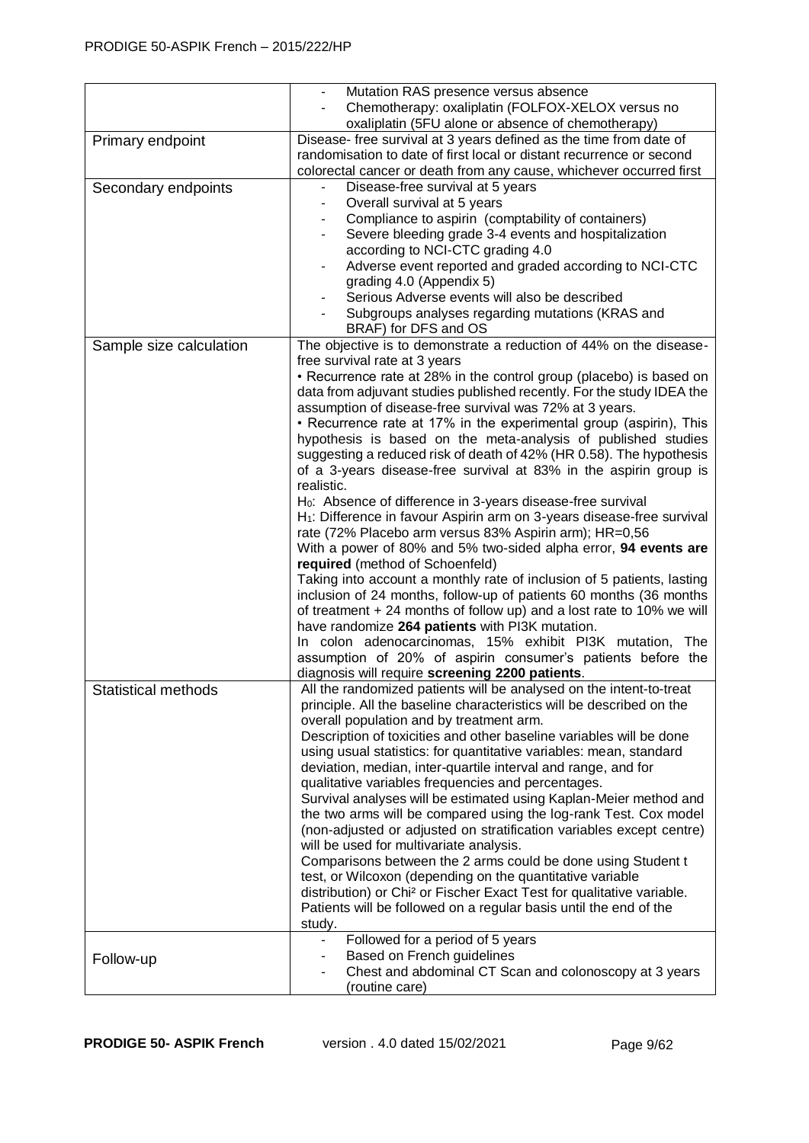|                         | Mutation RAS presence versus absence<br>Chemotherapy: oxaliplatin (FOLFOX-XELOX versus no<br>oxaliplatin (5FU alone or absence of chemotherapy)                                                                                                                                                                                                                                                                                                                                                                                                                                                                                                                                                                                                                                                                                                                                                                                                                                                                                                                                                                                                                                                                                                                                                                                                                                                              |  |
|-------------------------|--------------------------------------------------------------------------------------------------------------------------------------------------------------------------------------------------------------------------------------------------------------------------------------------------------------------------------------------------------------------------------------------------------------------------------------------------------------------------------------------------------------------------------------------------------------------------------------------------------------------------------------------------------------------------------------------------------------------------------------------------------------------------------------------------------------------------------------------------------------------------------------------------------------------------------------------------------------------------------------------------------------------------------------------------------------------------------------------------------------------------------------------------------------------------------------------------------------------------------------------------------------------------------------------------------------------------------------------------------------------------------------------------------------|--|
| Primary endpoint        | Disease- free survival at 3 years defined as the time from date of<br>randomisation to date of first local or distant recurrence or second<br>colorectal cancer or death from any cause, whichever occurred first                                                                                                                                                                                                                                                                                                                                                                                                                                                                                                                                                                                                                                                                                                                                                                                                                                                                                                                                                                                                                                                                                                                                                                                            |  |
| Secondary endpoints     | Disease-free survival at 5 years<br>Overall survival at 5 years<br>Compliance to aspirin (comptability of containers)<br>Severe bleeding grade 3-4 events and hospitalization<br>according to NCI-CTC grading 4.0<br>Adverse event reported and graded according to NCI-CTC<br>grading 4.0 (Appendix 5)<br>Serious Adverse events will also be described<br>Subgroups analyses regarding mutations (KRAS and<br>BRAF) for DFS and OS                                                                                                                                                                                                                                                                                                                                                                                                                                                                                                                                                                                                                                                                                                                                                                                                                                                                                                                                                                         |  |
| Sample size calculation | The objective is to demonstrate a reduction of 44% on the disease-<br>free survival rate at 3 years<br>• Recurrence rate at 28% in the control group (placebo) is based on<br>data from adjuvant studies published recently. For the study IDEA the<br>assumption of disease-free survival was 72% at 3 years.<br>• Recurrence rate at 17% in the experimental group (aspirin), This<br>hypothesis is based on the meta-analysis of published studies<br>suggesting a reduced risk of death of 42% (HR 0.58). The hypothesis<br>of a 3-years disease-free survival at 83% in the aspirin group is<br>realistic.<br>H <sub>0</sub> : Absence of difference in 3-years disease-free survival<br>H <sub>1</sub> : Difference in favour Aspirin arm on 3-years disease-free survival<br>rate (72% Placebo arm versus 83% Aspirin arm); HR=0,56<br>With a power of 80% and 5% two-sided alpha error, 94 events are<br>required (method of Schoenfeld)<br>Taking into account a monthly rate of inclusion of 5 patients, lasting<br>inclusion of 24 months, follow-up of patients 60 months (36 months<br>of treatment $+ 24$ months of follow up) and a lost rate to 10% we will<br>have randomize 264 patients with PI3K mutation.<br>In colon adenocarcinomas, 15% exhibit PI3K mutation, The<br>assumption of 20% of aspirin consumer's patients before the<br>diagnosis will require screening 2200 patients. |  |
| Statistical methods     | All the randomized patients will be analysed on the intent-to-treat<br>principle. All the baseline characteristics will be described on the<br>overall population and by treatment arm.<br>Description of toxicities and other baseline variables will be done<br>using usual statistics: for quantitative variables: mean, standard<br>deviation, median, inter-quartile interval and range, and for<br>qualitative variables frequencies and percentages.<br>Survival analyses will be estimated using Kaplan-Meier method and<br>the two arms will be compared using the log-rank Test. Cox model<br>(non-adjusted or adjusted on stratification variables except centre)<br>will be used for multivariate analysis.<br>Comparisons between the 2 arms could be done using Student t<br>test, or Wilcoxon (depending on the quantitative variable<br>distribution) or Chi <sup>2</sup> or Fischer Exact Test for qualitative variable.<br>Patients will be followed on a regular basis until the end of the<br>study.                                                                                                                                                                                                                                                                                                                                                                                     |  |
| Follow-up               | Followed for a period of 5 years<br>Based on French guidelines<br>Chest and abdominal CT Scan and colonoscopy at 3 years<br>(routine care)                                                                                                                                                                                                                                                                                                                                                                                                                                                                                                                                                                                                                                                                                                                                                                                                                                                                                                                                                                                                                                                                                                                                                                                                                                                                   |  |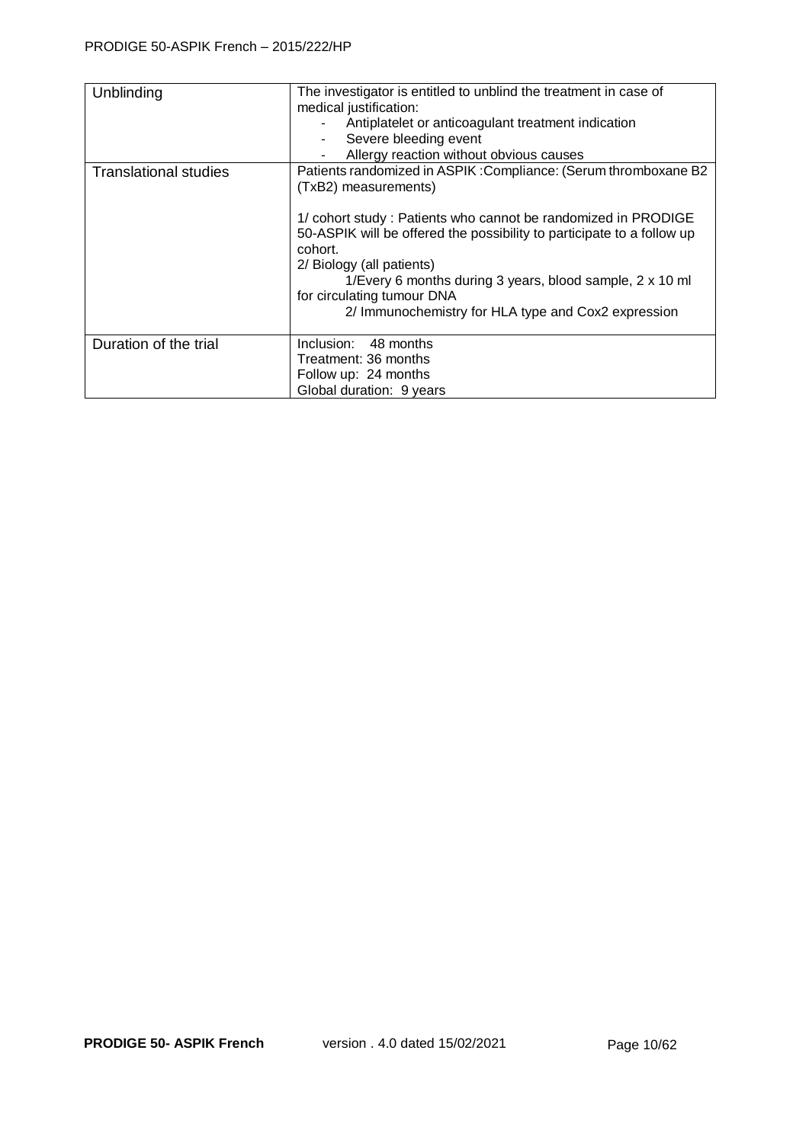| Unblinding                   | The investigator is entitled to unblind the treatment in case of<br>medical justification:<br>Antiplatelet or anticoagulant treatment indication<br>Severe bleeding event<br>Allergy reaction without obvious causes                                                                                                                                                                                                        |
|------------------------------|-----------------------------------------------------------------------------------------------------------------------------------------------------------------------------------------------------------------------------------------------------------------------------------------------------------------------------------------------------------------------------------------------------------------------------|
| <b>Translational studies</b> | Patients randomized in ASPIK: Compliance: (Serum thromboxane B2<br>(TxB2) measurements)<br>1/ cohort study: Patients who cannot be randomized in PRODIGE<br>50-ASPIK will be offered the possibility to participate to a follow up<br>cohort.<br>2/ Biology (all patients)<br>1/Every 6 months during 3 years, blood sample, 2 x 10 ml<br>for circulating tumour DNA<br>2/ Immunochemistry for HLA type and Cox2 expression |
| Duration of the trial        | Inclusion: 48 months<br>Treatment: 36 months<br>Follow up: 24 months<br>Global duration: 9 years                                                                                                                                                                                                                                                                                                                            |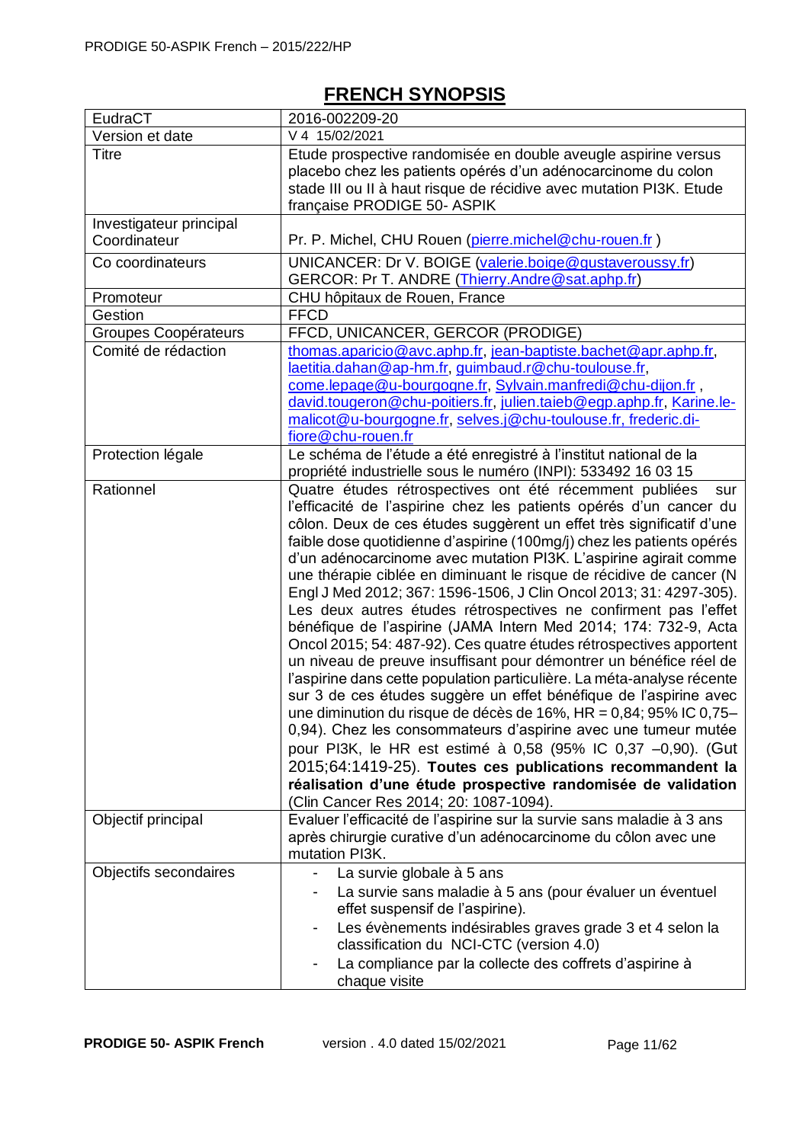## **FRENCH SYNOPSIS**

| EudraCT                                 | 2016-002209-20                                                                                                                                                                                                                                                                                                                                                                                                                                                                                                                                                                                                                                                                                                                                                                                                                                                                                                                                                                                                                                                                                                                                                                                                                                                                                                         |  |
|-----------------------------------------|------------------------------------------------------------------------------------------------------------------------------------------------------------------------------------------------------------------------------------------------------------------------------------------------------------------------------------------------------------------------------------------------------------------------------------------------------------------------------------------------------------------------------------------------------------------------------------------------------------------------------------------------------------------------------------------------------------------------------------------------------------------------------------------------------------------------------------------------------------------------------------------------------------------------------------------------------------------------------------------------------------------------------------------------------------------------------------------------------------------------------------------------------------------------------------------------------------------------------------------------------------------------------------------------------------------------|--|
| Version et date                         | V 4 15/02/2021                                                                                                                                                                                                                                                                                                                                                                                                                                                                                                                                                                                                                                                                                                                                                                                                                                                                                                                                                                                                                                                                                                                                                                                                                                                                                                         |  |
| <b>Titre</b>                            | Etude prospective randomisée en double aveugle aspirine versus<br>placebo chez les patients opérés d'un adénocarcinome du colon<br>stade III ou II à haut risque de récidive avec mutation PI3K. Etude<br>française PRODIGE 50- ASPIK                                                                                                                                                                                                                                                                                                                                                                                                                                                                                                                                                                                                                                                                                                                                                                                                                                                                                                                                                                                                                                                                                  |  |
| Investigateur principal<br>Coordinateur | Pr. P. Michel, CHU Rouen (pierre.michel@chu-rouen.fr)                                                                                                                                                                                                                                                                                                                                                                                                                                                                                                                                                                                                                                                                                                                                                                                                                                                                                                                                                                                                                                                                                                                                                                                                                                                                  |  |
| Co coordinateurs                        | UNICANCER: Dr V. BOIGE (valerie.boige@gustaveroussy.fr)<br>GERCOR: Pr T. ANDRE (Thierry.Andre@sat.aphp.fr)                                                                                                                                                                                                                                                                                                                                                                                                                                                                                                                                                                                                                                                                                                                                                                                                                                                                                                                                                                                                                                                                                                                                                                                                             |  |
| Promoteur                               | CHU hôpitaux de Rouen, France                                                                                                                                                                                                                                                                                                                                                                                                                                                                                                                                                                                                                                                                                                                                                                                                                                                                                                                                                                                                                                                                                                                                                                                                                                                                                          |  |
| Gestion                                 | <b>FFCD</b>                                                                                                                                                                                                                                                                                                                                                                                                                                                                                                                                                                                                                                                                                                                                                                                                                                                                                                                                                                                                                                                                                                                                                                                                                                                                                                            |  |
| <b>Groupes Coopérateurs</b>             | FFCD, UNICANCER, GERCOR (PRODIGE)                                                                                                                                                                                                                                                                                                                                                                                                                                                                                                                                                                                                                                                                                                                                                                                                                                                                                                                                                                                                                                                                                                                                                                                                                                                                                      |  |
| Comité de rédaction                     | thomas.aparicio@avc.aphp.fr, jean-baptiste.bachet@apr.aphp.fr,<br>laetitia.dahan@ap-hm.fr, guimbaud.r@chu-toulouse.fr,<br>come.lepage@u-bourgogne.fr, Sylvain.manfredi@chu-dijon.fr,<br>david.tougeron@chu-poitiers.fr, julien.taieb@egp.aphp.fr, Karine.le-<br>malicot@u-bourgogne.fr, selves.j@chu-toulouse.fr, frederic.di-<br>fiore@chu-rouen.fr                                                                                                                                                                                                                                                                                                                                                                                                                                                                                                                                                                                                                                                                                                                                                                                                                                                                                                                                                                   |  |
| Protection légale                       | Le schéma de l'étude a été enregistré à l'institut national de la<br>propriété industrielle sous le numéro (INPI): 533492 16 03 15                                                                                                                                                                                                                                                                                                                                                                                                                                                                                                                                                                                                                                                                                                                                                                                                                                                                                                                                                                                                                                                                                                                                                                                     |  |
| Rationnel                               | Quatre études rétrospectives ont été récemment publiées<br>sur<br>l'efficacité de l'aspirine chez les patients opérés d'un cancer du<br>côlon. Deux de ces études suggèrent un effet très significatif d'une<br>faible dose quotidienne d'aspirine (100mg/j) chez les patients opérés<br>d'un adénocarcinome avec mutation PI3K. L'aspirine agirait comme<br>une thérapie ciblée en diminuant le risque de récidive de cancer (N<br>Engl J Med 2012; 367: 1596-1506, J Clin Oncol 2013; 31: 4297-305).<br>Les deux autres études rétrospectives ne confirment pas l'effet<br>bénéfique de l'aspirine (JAMA Intern Med 2014; 174: 732-9, Acta<br>Oncol 2015; 54: 487-92). Ces quatre études rétrospectives apportent<br>un niveau de preuve insuffisant pour démontrer un bénéfice réel de<br>l'aspirine dans cette population particulière. La méta-analyse récente<br>sur 3 de ces études suggère un effet bénéfique de l'aspirine avec<br>une diminution du risque de décès de 16%, HR = 0,84; 95% IC 0,75-<br>0,94). Chez les consommateurs d'aspirine avec une tumeur mutée<br>pour PI3K, le HR est estimé à 0,58 (95% IC 0,37 -0,90). (Gut<br>2015;64:1419-25). Toutes ces publications recommandent la<br>réalisation d'une étude prospective randomisée de validation<br>(Clin Cancer Res 2014; 20: 1087-1094). |  |
| Objectif principal                      | Evaluer l'efficacité de l'aspirine sur la survie sans maladie à 3 ans<br>après chirurgie curative d'un adénocarcinome du côlon avec une<br>mutation PI3K.                                                                                                                                                                                                                                                                                                                                                                                                                                                                                                                                                                                                                                                                                                                                                                                                                                                                                                                                                                                                                                                                                                                                                              |  |
| Objectifs secondaires                   | La survie globale à 5 ans<br>La survie sans maladie à 5 ans (pour évaluer un éventuel<br>effet suspensif de l'aspirine).<br>Les évènements indésirables graves grade 3 et 4 selon la<br>-<br>classification du NCI-CTC (version 4.0)<br>La compliance par la collecte des coffrets d'aspirine à<br>chaque visite                                                                                                                                                                                                                                                                                                                                                                                                                                                                                                                                                                                                                                                                                                                                                                                                                                                                                                                                                                                                       |  |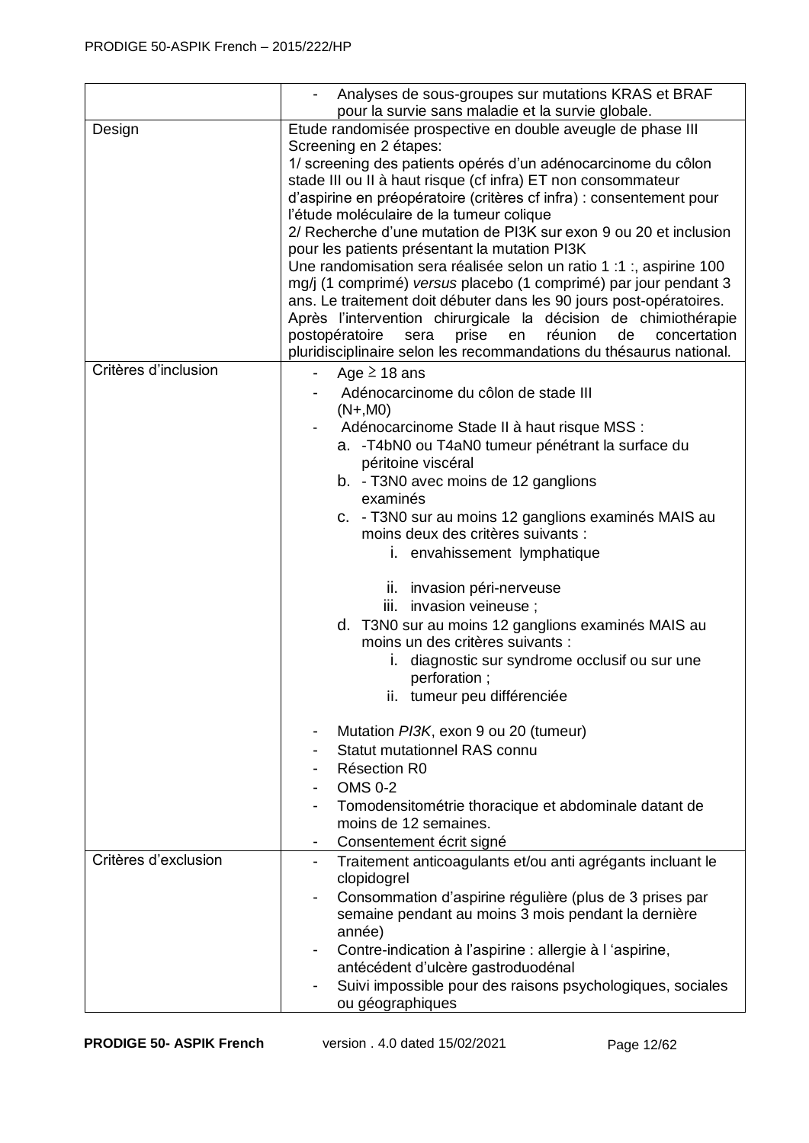|                      | Analyses de sous-groupes sur mutations KRAS et BRAF<br>pour la survie sans maladie et la survie globale.                                                                                                                                                                                                                                                                                                                                                                                                                                                                                                                                                                                                                                                                                                                                                                                              |  |  |
|----------------------|-------------------------------------------------------------------------------------------------------------------------------------------------------------------------------------------------------------------------------------------------------------------------------------------------------------------------------------------------------------------------------------------------------------------------------------------------------------------------------------------------------------------------------------------------------------------------------------------------------------------------------------------------------------------------------------------------------------------------------------------------------------------------------------------------------------------------------------------------------------------------------------------------------|--|--|
| Design               | Etude randomisée prospective en double aveugle de phase III<br>Screening en 2 étapes:<br>1/ screening des patients opérés d'un adénocarcinome du côlon<br>stade III ou II à haut risque (cf infra) ET non consommateur<br>d'aspirine en préopératoire (critères cf infra) : consentement pour<br>l'étude moléculaire de la tumeur colique<br>2/ Recherche d'une mutation de PI3K sur exon 9 ou 20 et inclusion<br>pour les patients présentant la mutation PI3K<br>Une randomisation sera réalisée selon un ratio 1 :1 :, aspirine 100<br>mg/j (1 comprimé) versus placebo (1 comprimé) par jour pendant 3<br>ans. Le traitement doit débuter dans les 90 jours post-opératoires.<br>Après l'intervention chirurgicale la décision de chimiothérapie<br>réunion<br>postopératoire<br>prise<br>de<br>concertation<br>sera<br>en<br>pluridisciplinaire selon les recommandations du thésaurus national. |  |  |
| Critères d'inclusion | Age $\geq$ 18 ans<br>$\overline{\phantom{0}}$<br>Adénocarcinome du côlon de stade III<br>$(N+, MO)$<br>Adénocarcinome Stade II à haut risque MSS :<br>a. - T4bN0 ou T4aN0 tumeur pénétrant la surface du<br>péritoine viscéral<br>b. - T3N0 avec moins de 12 ganglions<br>examinés<br>c. - T3N0 sur au moins 12 ganglions examinés MAIS au<br>moins deux des critères suivants :<br>i. envahissement lymphatique<br>ii. invasion péri-nerveuse<br>iii. invasion veineuse :<br>d. T3N0 sur au moins 12 ganglions examinés MAIS au<br>moins un des critères suivants :<br>diagnostic sur syndrome occlusif ou sur une<br>L.<br>perforation;<br>ii. tumeur peu différenciée                                                                                                                                                                                                                              |  |  |
|                      | Mutation PI3K, exon 9 ou 20 (tumeur)<br><b>Statut mutationnel RAS connu</b><br>Résection R0<br><b>OMS 0-2</b><br>Tomodensitométrie thoracique et abdominale datant de<br>moins de 12 semaines.<br>Consentement écrit signé                                                                                                                                                                                                                                                                                                                                                                                                                                                                                                                                                                                                                                                                            |  |  |
| Critères d'exclusion | Traitement anticoagulants et/ou anti agrégants incluant le<br>-<br>clopidogrel<br>Consommation d'aspirine régulière (plus de 3 prises par<br>$\overline{\phantom{0}}$<br>semaine pendant au moins 3 mois pendant la dernière<br>année)<br>Contre-indication à l'aspirine : allergie à l'aspirine,<br>-<br>antécédent d'ulcère gastroduodénal<br>Suivi impossible pour des raisons psychologiques, sociales<br>ou géographiques                                                                                                                                                                                                                                                                                                                                                                                                                                                                        |  |  |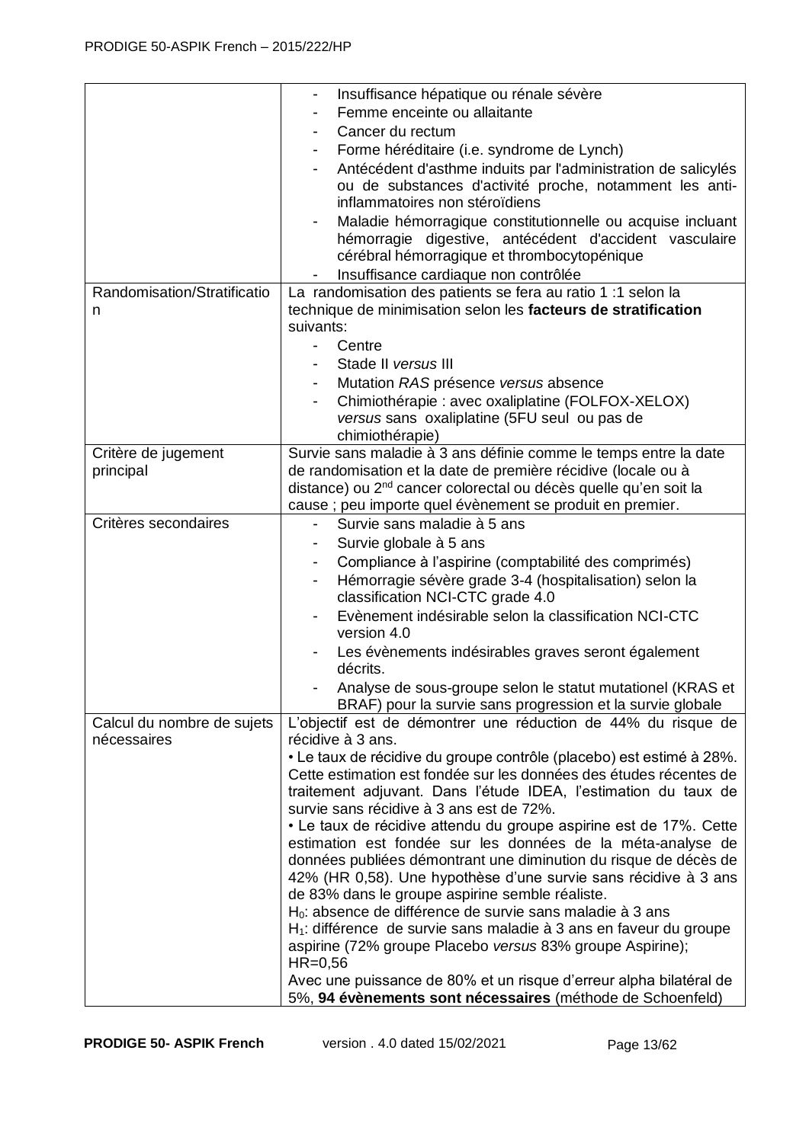|                                           | Insuffisance hépatique ou rénale sévère<br>-<br>Femme enceinte ou allaitante<br>$\overline{\phantom{a}}$<br>Cancer du rectum<br>-<br>Forme héréditaire (i.e. syndrome de Lynch)<br>Antécédent d'asthme induits par l'administration de salicylés<br>-<br>ou de substances d'activité proche, notamment les anti-<br>inflammatoires non stéroïdiens<br>Maladie hémorragique constitutionnelle ou acquise incluant<br>hémorragie digestive, antécédent d'accident vasculaire<br>cérébral hémorragique et thrombocytopénique<br>Insuffisance cardiaque non contrôlée |
|-------------------------------------------|-------------------------------------------------------------------------------------------------------------------------------------------------------------------------------------------------------------------------------------------------------------------------------------------------------------------------------------------------------------------------------------------------------------------------------------------------------------------------------------------------------------------------------------------------------------------|
| Randomisation/Stratificatio               | La randomisation des patients se fera au ratio 1 :1 selon la                                                                                                                                                                                                                                                                                                                                                                                                                                                                                                      |
| n                                         | technique de minimisation selon les facteurs de stratification<br>suivants:                                                                                                                                                                                                                                                                                                                                                                                                                                                                                       |
|                                           | Centre                                                                                                                                                                                                                                                                                                                                                                                                                                                                                                                                                            |
|                                           | Stade II versus III                                                                                                                                                                                                                                                                                                                                                                                                                                                                                                                                               |
|                                           | Mutation RAS présence versus absence<br>Chimiothérapie : avec oxaliplatine (FOLFOX-XELOX)<br>-<br>versus sans oxaliplatine (5FU seul ou pas de                                                                                                                                                                                                                                                                                                                                                                                                                    |
|                                           | chimiothérapie)                                                                                                                                                                                                                                                                                                                                                                                                                                                                                                                                                   |
| Critère de jugement                       | Survie sans maladie à 3 ans définie comme le temps entre la date                                                                                                                                                                                                                                                                                                                                                                                                                                                                                                  |
| principal                                 | de randomisation et la date de première récidive (locale ou à                                                                                                                                                                                                                                                                                                                                                                                                                                                                                                     |
|                                           | distance) ou 2 <sup>nd</sup> cancer colorectal ou décès quelle qu'en soit la                                                                                                                                                                                                                                                                                                                                                                                                                                                                                      |
|                                           | cause; peu importe quel évènement se produit en premier.                                                                                                                                                                                                                                                                                                                                                                                                                                                                                                          |
| Critères secondaires                      | Survie sans maladie à 5 ans                                                                                                                                                                                                                                                                                                                                                                                                                                                                                                                                       |
|                                           | Survie globale à 5 ans                                                                                                                                                                                                                                                                                                                                                                                                                                                                                                                                            |
|                                           | Compliance à l'aspirine (comptabilité des comprimés)<br>$\blacksquare$                                                                                                                                                                                                                                                                                                                                                                                                                                                                                            |
|                                           | Hémorragie sévère grade 3-4 (hospitalisation) selon la                                                                                                                                                                                                                                                                                                                                                                                                                                                                                                            |
|                                           | classification NCI-CTC grade 4.0                                                                                                                                                                                                                                                                                                                                                                                                                                                                                                                                  |
|                                           | Evènement indésirable selon la classification NCI-CTC                                                                                                                                                                                                                                                                                                                                                                                                                                                                                                             |
|                                           | version 4.0                                                                                                                                                                                                                                                                                                                                                                                                                                                                                                                                                       |
|                                           | Les évènements indésirables graves seront également<br>décrits.                                                                                                                                                                                                                                                                                                                                                                                                                                                                                                   |
|                                           | Analyse de sous-groupe selon le statut mutationel (KRAS et                                                                                                                                                                                                                                                                                                                                                                                                                                                                                                        |
|                                           | BRAF) pour la survie sans progression et la survie globale                                                                                                                                                                                                                                                                                                                                                                                                                                                                                                        |
| Calcul du nombre de sujets<br>nécessaires | L'objectif est de démontrer une réduction de 44% du risque de<br>récidive à 3 ans.                                                                                                                                                                                                                                                                                                                                                                                                                                                                                |
|                                           | • Le taux de récidive du groupe contrôle (placebo) est estimé à 28%.                                                                                                                                                                                                                                                                                                                                                                                                                                                                                              |
|                                           | Cette estimation est fondée sur les données des études récentes de                                                                                                                                                                                                                                                                                                                                                                                                                                                                                                |
|                                           | traitement adjuvant. Dans l'étude IDEA, l'estimation du taux de                                                                                                                                                                                                                                                                                                                                                                                                                                                                                                   |
|                                           | survie sans récidive à 3 ans est de 72%.                                                                                                                                                                                                                                                                                                                                                                                                                                                                                                                          |
|                                           | • Le taux de récidive attendu du groupe aspirine est de 17%. Cette                                                                                                                                                                                                                                                                                                                                                                                                                                                                                                |
|                                           | estimation est fondée sur les données de la méta-analyse de<br>données publiées démontrant une diminution du risque de décès de                                                                                                                                                                                                                                                                                                                                                                                                                                   |
|                                           | 42% (HR 0,58). Une hypothèse d'une survie sans récidive à 3 ans                                                                                                                                                                                                                                                                                                                                                                                                                                                                                                   |
|                                           | de 83% dans le groupe aspirine semble réaliste.                                                                                                                                                                                                                                                                                                                                                                                                                                                                                                                   |
|                                           | H <sub>0</sub> : absence de différence de survie sans maladie à 3 ans                                                                                                                                                                                                                                                                                                                                                                                                                                                                                             |
|                                           | H <sub>1</sub> : différence de survie sans maladie à 3 ans en faveur du groupe                                                                                                                                                                                                                                                                                                                                                                                                                                                                                    |
|                                           | aspirine (72% groupe Placebo versus 83% groupe Aspirine);<br>$HR=0,56$                                                                                                                                                                                                                                                                                                                                                                                                                                                                                            |
|                                           | Avec une puissance de 80% et un risque d'erreur alpha bilatéral de                                                                                                                                                                                                                                                                                                                                                                                                                                                                                                |
|                                           | 5%, 94 évènements sont nécessaires (méthode de Schoenfeld)                                                                                                                                                                                                                                                                                                                                                                                                                                                                                                        |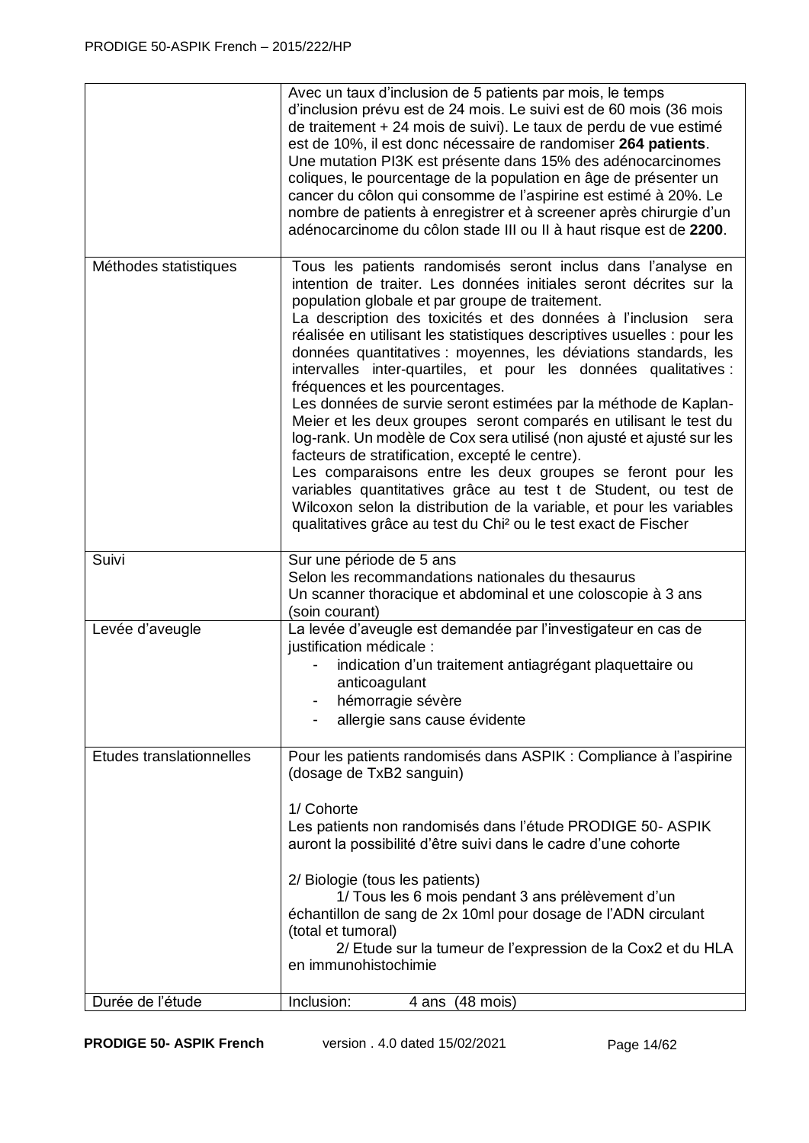|                          | Avec un taux d'inclusion de 5 patients par mois, le temps<br>d'inclusion prévu est de 24 mois. Le suivi est de 60 mois (36 mois<br>de traitement + 24 mois de suivi). Le taux de perdu de vue estimé<br>est de 10%, il est donc nécessaire de randomiser 264 patients.<br>Une mutation PI3K est présente dans 15% des adénocarcinomes<br>coliques, le pourcentage de la population en âge de présenter un<br>cancer du côlon qui consomme de l'aspirine est estimé à 20%. Le<br>nombre de patients à enregistrer et à screener après chirurgie d'un<br>adénocarcinome du côlon stade III ou II à haut risque est de 2200.                                                                                                                                                                                                                                                                                                                                                                                                                                                |
|--------------------------|--------------------------------------------------------------------------------------------------------------------------------------------------------------------------------------------------------------------------------------------------------------------------------------------------------------------------------------------------------------------------------------------------------------------------------------------------------------------------------------------------------------------------------------------------------------------------------------------------------------------------------------------------------------------------------------------------------------------------------------------------------------------------------------------------------------------------------------------------------------------------------------------------------------------------------------------------------------------------------------------------------------------------------------------------------------------------|
| Méthodes statistiques    | Tous les patients randomisés seront inclus dans l'analyse en<br>intention de traiter. Les données initiales seront décrites sur la<br>population globale et par groupe de traitement.<br>La description des toxicités et des données à l'inclusion<br>sera<br>réalisée en utilisant les statistiques descriptives usuelles : pour les<br>données quantitatives : moyennes, les déviations standards, les<br>intervalles inter-quartiles, et pour les données qualitatives :<br>fréquences et les pourcentages.<br>Les données de survie seront estimées par la méthode de Kaplan-<br>Meier et les deux groupes seront comparés en utilisant le test du<br>log-rank. Un modèle de Cox sera utilisé (non ajusté et ajusté sur les<br>facteurs de stratification, excepté le centre).<br>Les comparaisons entre les deux groupes se feront pour les<br>variables quantitatives grâce au test t de Student, ou test de<br>Wilcoxon selon la distribution de la variable, et pour les variables<br>qualitatives grâce au test du Chi <sup>2</sup> ou le test exact de Fischer |
| Suivi                    | Sur une période de 5 ans                                                                                                                                                                                                                                                                                                                                                                                                                                                                                                                                                                                                                                                                                                                                                                                                                                                                                                                                                                                                                                                 |
|                          | Selon les recommandations nationales du thesaurus<br>Un scanner thoracique et abdominal et une coloscopie à 3 ans<br>(soin courant)                                                                                                                                                                                                                                                                                                                                                                                                                                                                                                                                                                                                                                                                                                                                                                                                                                                                                                                                      |
| Levée d'aveugle          | La levée d'aveugle est demandée par l'investigateur en cas de<br>justification médicale :<br>indication d'un traitement antiagrégant plaquettaire ou<br>anticoagulant<br>hémorragie sévère<br>allergie sans cause évidente                                                                                                                                                                                                                                                                                                                                                                                                                                                                                                                                                                                                                                                                                                                                                                                                                                               |
| Etudes translationnelles | Pour les patients randomisés dans ASPIK : Compliance à l'aspirine<br>(dosage de TxB2 sanguin)<br>1/ Cohorte<br>Les patients non randomisés dans l'étude PRODIGE 50-ASPIK                                                                                                                                                                                                                                                                                                                                                                                                                                                                                                                                                                                                                                                                                                                                                                                                                                                                                                 |
|                          | auront la possibilité d'être suivi dans le cadre d'une cohorte<br>2/ Biologie (tous les patients)<br>1/ Tous les 6 mois pendant 3 ans prélèvement d'un<br>échantillon de sang de 2x 10ml pour dosage de l'ADN circulant<br>(total et tumoral)<br>2/ Etude sur la tumeur de l'expression de la Cox2 et du HLA<br>en immunohistochimie                                                                                                                                                                                                                                                                                                                                                                                                                                                                                                                                                                                                                                                                                                                                     |
| Durée de l'étude         | Inclusion:<br>4 ans (48 mois)                                                                                                                                                                                                                                                                                                                                                                                                                                                                                                                                                                                                                                                                                                                                                                                                                                                                                                                                                                                                                                            |